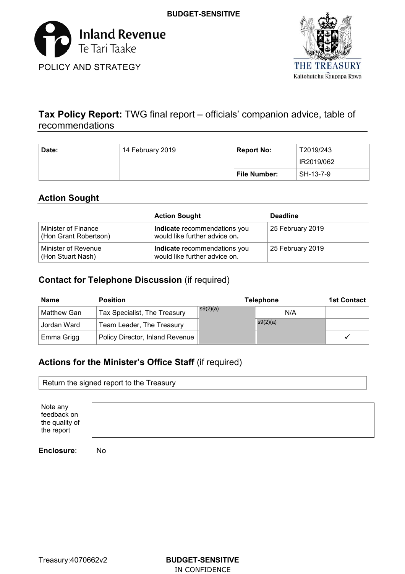



# **Tax Policy Report:** TWG final report – officials' companion advice, table of recommendations

| Date: | 14 February 2019 | <b>Report No:</b> | T2019/243  |
|-------|------------------|-------------------|------------|
|       |                  |                   | IR2019/062 |
|       |                  | File Number:      | SH-13-7-9  |

# **Action Sought**

|                                              | <b>Action Sought</b>                                          | <b>Deadline</b>  |
|----------------------------------------------|---------------------------------------------------------------|------------------|
| Minister of Finance<br>(Hon Grant Robertson) | Indicate recommendations you<br>would like further advice on. | 25 February 2019 |
| Minister of Revenue<br>(Hon Stuart Nash)     | Indicate recommendations you<br>would like further advice on. | 25 February 2019 |

# **Contact for Telephone Discussion** (if required)

| <b>Name</b> | <b>Position</b>                 |          | <b>Telephone</b> | <b>1st Contact</b> |
|-------------|---------------------------------|----------|------------------|--------------------|
| Matthew Gan | Tax Specialist, The Treasury    | s9(2)(a) | N/A              |                    |
| Jordan Ward | Team Leader, The Treasury       |          | S(2)(a)          |                    |
| Emma Grigg  | Policy Director, Inland Revenue |          |                  |                    |

# **Actions for the Minister's Office Staff** (if required)

|                                                         | Return the signed report to the Treasury |  |  |  |  |  |
|---------------------------------------------------------|------------------------------------------|--|--|--|--|--|
| Note any<br>feedback on<br>the quality of<br>the report |                                          |  |  |  |  |  |
|                                                         |                                          |  |  |  |  |  |

**Enclosure**: No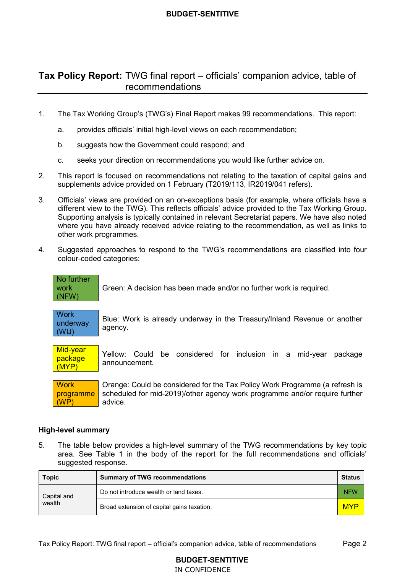# **Tax Policy Report:** TWG final report – officials' companion advice, table of recommendations

- The Tax Working Group's (TWG's) Final Report makes 99 recommendations. This report:  $1<sub>1</sub>$ 
	- a. provides officials' initial high-level views on each recommendation;
	- b. suggests how the Government could respond; and
	- seeks your direction on recommendations you would like further advice on. c.
- This report is focused on recommendations not relating to the taxation of capital gains and supplements advice provided on 1 February (T2019/113, IR2019/041 refers).  $2.$
- 3. Officials' views are provided on an on-exceptions basis (for example, where officials have a different view to the TWG). This reflects officials' advice provided to the Tax Working Group. Supporting analysis is typically contained in relevant Secretariat papers. We have also noted where you have already received advice relating to the recommendation, as well as links to other work programmes.
- 4. Suggested approaches to respond to the TWG's recommendations are classified into four colour-coded categories:

No further work (NFW) Green: A decision has been made and/or no further work is required.

**Work** underway (WU) Blue: Work is already underway in the Treasury/Inland Revenue or another agency.

Mid-vear package (MYP) Yellow: Could be considered for inclusion in a mid-year package announcement.

**Work** programme (WP) Orange: Could be considered for the Tax Policy Work Programme (a refresh is scheduled for mid-2019)/other agency work programme and/or require further advice.

### **High-level summary**

 5. The table below provides a high-level summary of the TWG recommendations by key topic area. See Table 1 in the body of the report for the full recommendations and officials' suggested response.

| <b>Topic</b> | <b>Summary of TWG recommendations</b>      |            |
|--------------|--------------------------------------------|------------|
| Capital and  | Do not introduce wealth or land taxes.     | <b>NFW</b> |
| wealth       | Broad extension of capital gains taxation. | <b>MYP</b> |

# **BUDGET-SENTITIVE**  IN CONFIDENCE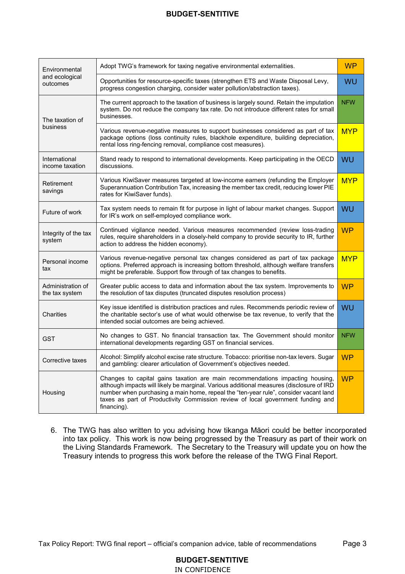| Environmental                       | Adopt TWG's framework for taxing negative environmental externalities.                                                                                                                                                                                                                                                                                              | <b>WP</b>  |
|-------------------------------------|---------------------------------------------------------------------------------------------------------------------------------------------------------------------------------------------------------------------------------------------------------------------------------------------------------------------------------------------------------------------|------------|
| and ecological<br>outcomes          | Opportunities for resource-specific taxes (strengthen ETS and Waste Disposal Levy,<br>progress congestion charging, consider water pollution/abstraction taxes).                                                                                                                                                                                                    | WU         |
| The taxation of                     | The current approach to the taxation of business is largely sound. Retain the imputation<br>system. Do not reduce the company tax rate. Do not introduce different rates for small<br>businesses.                                                                                                                                                                   | <b>NFW</b> |
| business                            | Various revenue-negative measures to support businesses considered as part of tax<br>package options (loss continuity rules, blackhole expenditure, building depreciation,<br>rental loss ring-fencing removal, compliance cost measures).                                                                                                                          | <b>MYP</b> |
| International<br>income taxation    | Stand ready to respond to international developments. Keep participating in the OECD<br>discussions.                                                                                                                                                                                                                                                                | WU         |
| Retirement<br>savings               | Various KiwiSaver measures targeted at low-income earners (refunding the Employer<br>Superannuation Contribution Tax, increasing the member tax credit, reducing lower PIE<br>rates for KiwiSaver funds).                                                                                                                                                           | <b>MYP</b> |
| Future of work                      | Tax system needs to remain fit for purpose in light of labour market changes. Support<br>for IR's work on self-employed compliance work.                                                                                                                                                                                                                            | WU         |
| Integrity of the tax<br>system      | Continued vigilance needed. Various measures recommended (review loss-trading<br>rules, require shareholders in a closely-held company to provide security to IR, further<br>action to address the hidden economy).                                                                                                                                                 | <b>WP</b>  |
| Personal income<br>tax              | Various revenue-negative personal tax changes considered as part of tax package<br>options. Preferred approach is increasing bottom threshold, although welfare transfers<br>might be preferable. Support flow through of tax changes to benefits.                                                                                                                  | <b>MYP</b> |
| Administration of<br>the tax system | Greater public access to data and information about the tax system. Improvements to<br>the resolution of tax disputes (truncated disputes resolution process)                                                                                                                                                                                                       | <b>WP</b>  |
| Charities                           | Key issue identified is distribution practices and rules. Recommends periodic review of<br>the charitable sector's use of what would otherwise be tax revenue, to verify that the<br>intended social outcomes are being achieved.                                                                                                                                   | WU         |
| GST                                 | No changes to GST. No financial transaction tax. The Government should monitor<br>international developments regarding GST on financial services.                                                                                                                                                                                                                   | <b>NFW</b> |
| Corrective taxes                    | Alcohol: Simplify alcohol excise rate structure. Tobacco: prioritise non-tax levers. Sugar<br>and gambling: clearer articulation of Government's objectives needed.                                                                                                                                                                                                 | <b>WP</b>  |
| Housing                             | Changes to capital gains taxation are main recommendations impacting housing,<br>although impacts will likely be marginal. Various additional measures (disclosure of IRD<br>number when purchasing a main home, repeal the "ten-year rule", consider vacant land<br>taxes as part of Productivity Commission review of local government funding and<br>financing). | <b>WP</b>  |

 6. The TWG has also written to you advising how tikanga Māori could be better incorporated into tax policy. This work is now being progressed by the Treasury as part of their work on the Living Standards Framework. The Secretary to the Treasury will update you on how the Treasury intends to progress this work before the release of the TWG Final Report.

Tax Policy Report: TWG final report – official's companion advice, table of recommendations Page 3

**BUDGET-SENTITIVE**  IN CONFIDENCE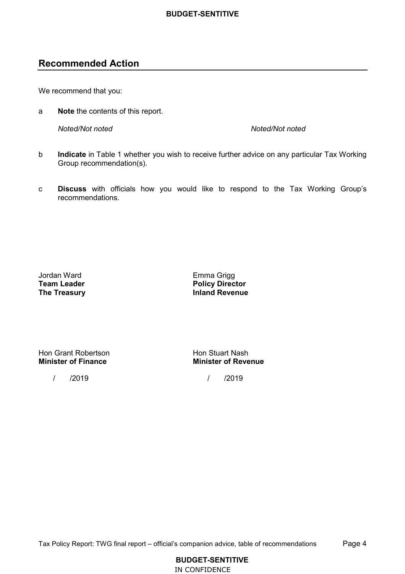# **Recommended Action**

We recommend that you:

a **Note** the contents of this report.

**Noted/Not noted** Noted/Not noted

- b **Indicate** in Table 1 whether you wish to receive further advice on any particular Tax Working Group recommendation(s).
- c **Discuss** with officials how you would like to respond to the Tax Working Group's recommendations.

**Team Leader** Jordan Ward Emma Grigg **The Treasury** 

**Inland Revenue Team Leader Policy Director** 

Hon Grant Robertson **Hon Stuart Nash Minister of Finance** 

/ /2019 / /2019

**Minister of Finance Minister of Revenue**

Tax Policy Report: TWG final report – official's companion advice, table of recommendations Page 4

**BUDGET-SENTITIVE**  IN CONFIDENCE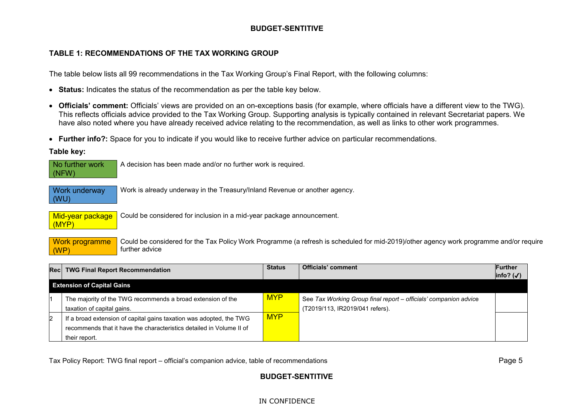## **TABLE 1: RECOMMENDATIONS OF THE TAX WORKING GROUP**

The table below lists all 99 recommendations in the Tax Working Group's Final Report, with the following columns:

- **Status:** Indicates the status of the recommendation as per the table key below.
- **Officials' comment:** Officials' views are provided on an on-exceptions basis (for example, where officials have a different view to the TWG). This reflects officials advice provided to the Tax Working Group. Supporting analysis is typically contained in relevant Secretariat papers. We have also noted where you have already received advice relating to the recommendation, as well as links to other work programmes.
- **Further info?:** Space for you to indicate if you would like to receive further advice on particular recommendations.

**Table key:**

| No further work<br>(NFW)     | A decision has been made and/or no further work is required.                                                                                             |
|------------------------------|----------------------------------------------------------------------------------------------------------------------------------------------------------|
| <b>Work underway</b><br>(WU) | Work is already underway in the Treasury/Inland Revenue or another agency.                                                                               |
| Mid-year package<br>(MYP)    | Could be considered for inclusion in a mid-year package announcement.                                                                                    |
| Work programme<br>(WP)       | Could be considered for the Tax Policy Work Programme (a refresh is scheduled for mid-2019)/other agency work programme and/or require<br>further advice |

|                                   | Rec TWG Final Report Recommendation                                  | <b>Status</b> | <b>Officials' comment</b>                                        | <b>Further</b><br>$ info?(\checkmark)$ |
|-----------------------------------|----------------------------------------------------------------------|---------------|------------------------------------------------------------------|----------------------------------------|
| <b>Extension of Capital Gains</b> |                                                                      |               |                                                                  |                                        |
|                                   | The majority of the TWG recommends a broad extension of the          | <b>MYP</b>    | See Tax Working Group final report - officials' companion advice |                                        |
|                                   | taxation of capital gains.                                           |               | (T2019/113, IR2019/041 refers).                                  |                                        |
| 2                                 | If a broad extension of capital gains taxation was adopted, the TWG  | <b>MYP</b>    |                                                                  |                                        |
|                                   | recommends that it have the characteristics detailed in Volume II of |               |                                                                  |                                        |
|                                   | their report.                                                        |               |                                                                  |                                        |

Tax Policy Report: TWG final report – official's companion advice, table of recommendations Page 5  $\,$ 

# **BUDGET-SENTITIVE**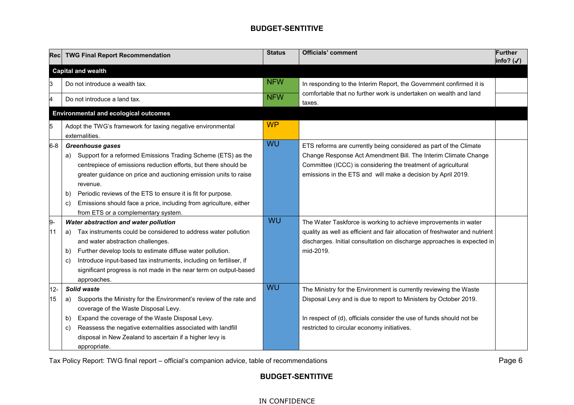| Recl                | <b>TWG Final Report Recommendation</b>                                                                                                                                                                                                                                                                                                                                                                                                                                                                                                                                                         | <b>Status</b> | <b>Officials' comment</b>                                                                                                                                                                                                                                                                                                                                                                                                                                                                         | <b>Further</b><br>info? $(\checkmark)$ |
|---------------------|------------------------------------------------------------------------------------------------------------------------------------------------------------------------------------------------------------------------------------------------------------------------------------------------------------------------------------------------------------------------------------------------------------------------------------------------------------------------------------------------------------------------------------------------------------------------------------------------|---------------|---------------------------------------------------------------------------------------------------------------------------------------------------------------------------------------------------------------------------------------------------------------------------------------------------------------------------------------------------------------------------------------------------------------------------------------------------------------------------------------------------|----------------------------------------|
|                     | <b>Capital and wealth</b>                                                                                                                                                                                                                                                                                                                                                                                                                                                                                                                                                                      |               |                                                                                                                                                                                                                                                                                                                                                                                                                                                                                                   |                                        |
| IЗ                  | Do not introduce a wealth tax.                                                                                                                                                                                                                                                                                                                                                                                                                                                                                                                                                                 | <b>NFW</b>    | In responding to the Interim Report, the Government confirmed it is                                                                                                                                                                                                                                                                                                                                                                                                                               |                                        |
| и                   | Do not introduce a land tax.                                                                                                                                                                                                                                                                                                                                                                                                                                                                                                                                                                   | <b>NFW</b>    | comfortable that no further work is undertaken on wealth and land<br>taxes.                                                                                                                                                                                                                                                                                                                                                                                                                       |                                        |
|                     | <b>Environmental and ecological outcomes</b>                                                                                                                                                                                                                                                                                                                                                                                                                                                                                                                                                   |               |                                                                                                                                                                                                                                                                                                                                                                                                                                                                                                   |                                        |
| 5                   | Adopt the TWG's framework for taxing negative environmental<br>externalities.                                                                                                                                                                                                                                                                                                                                                                                                                                                                                                                  | <b>WP</b>     |                                                                                                                                                                                                                                                                                                                                                                                                                                                                                                   |                                        |
| $6 - 8$<br>9.<br>11 | <b>Greenhouse gases</b><br>Support for a reformed Emissions Trading Scheme (ETS) as the<br>a)<br>centrepiece of emissions reduction efforts, but there should be<br>greater guidance on price and auctioning emission units to raise<br>revenue.<br>Periodic reviews of the ETS to ensure it is fit for purpose.<br>b)<br>Emissions should face a price, including from agriculture, either<br>C)<br>from ETS or a complementary system.<br>Water abstraction and water pollution<br>Tax instruments could be considered to address water pollution<br>a)<br>and water abstraction challenges. | WU<br>WU      | ETS reforms are currently being considered as part of the Climate<br>Change Response Act Amendment Bill. The Interim Climate Change<br>Committee (ICCC) is considering the treatment of agricultural<br>emissions in the ETS and will make a decision by April 2019.<br>The Water Taskforce is working to achieve improvements in water<br>quality as well as efficient and fair allocation of freshwater and nutrient<br>discharges. Initial consultation on discharge approaches is expected in |                                        |
|                     | Further develop tools to estimate diffuse water pollution.<br>b)<br>Introduce input-based tax instruments, including on fertiliser, if<br>C)<br>significant progress is not made in the near term on output-based<br>approaches.                                                                                                                                                                                                                                                                                                                                                               |               | mid-2019.                                                                                                                                                                                                                                                                                                                                                                                                                                                                                         |                                        |
| $12-$               | Solid waste                                                                                                                                                                                                                                                                                                                                                                                                                                                                                                                                                                                    | <b>WU</b>     | The Ministry for the Environment is currently reviewing the Waste                                                                                                                                                                                                                                                                                                                                                                                                                                 |                                        |
| 15                  | Supports the Ministry for the Environment's review of the rate and<br>a)                                                                                                                                                                                                                                                                                                                                                                                                                                                                                                                       |               | Disposal Levy and is due to report to Ministers by October 2019.                                                                                                                                                                                                                                                                                                                                                                                                                                  |                                        |
|                     | coverage of the Waste Disposal Levy.                                                                                                                                                                                                                                                                                                                                                                                                                                                                                                                                                           |               |                                                                                                                                                                                                                                                                                                                                                                                                                                                                                                   |                                        |
|                     | Expand the coverage of the Waste Disposal Levy.<br>b)                                                                                                                                                                                                                                                                                                                                                                                                                                                                                                                                          |               | In respect of (d), officials consider the use of funds should not be                                                                                                                                                                                                                                                                                                                                                                                                                              |                                        |
|                     | Reassess the negative externalities associated with landfill<br>C)                                                                                                                                                                                                                                                                                                                                                                                                                                                                                                                             |               | restricted to circular economy initiatives.                                                                                                                                                                                                                                                                                                                                                                                                                                                       |                                        |
|                     | disposal in New Zealand to ascertain if a higher levy is<br>appropriate.                                                                                                                                                                                                                                                                                                                                                                                                                                                                                                                       |               |                                                                                                                                                                                                                                                                                                                                                                                                                                                                                                   |                                        |

Tax Policy Report: TWG final report – official's companion advice, table of recommendations Page 6  $\,$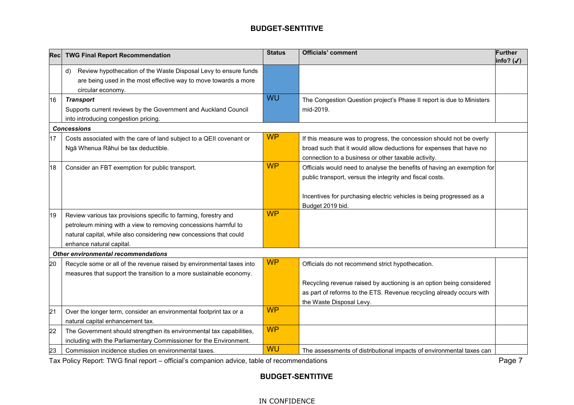| Rec | <b>TWG Final Report Recommendation</b>                                                                                                                                                                                               | <b>Status</b> | <b>Officials' comment</b>                                                                                                                                                                                                       | <b>Further</b><br>info? (√) |
|-----|--------------------------------------------------------------------------------------------------------------------------------------------------------------------------------------------------------------------------------------|---------------|---------------------------------------------------------------------------------------------------------------------------------------------------------------------------------------------------------------------------------|-----------------------------|
|     | Review hypothecation of the Waste Disposal Levy to ensure funds<br>d)<br>are being used in the most effective way to move towards a more<br>circular economy.                                                                        |               |                                                                                                                                                                                                                                 |                             |
| 16  | <b>Transport</b><br>Supports current reviews by the Government and Auckland Council<br>into introducing congestion pricing.                                                                                                          | WU            | The Congestion Question project's Phase II report is due to Ministers<br>mid-2019.                                                                                                                                              |                             |
|     | <b>Concessions</b>                                                                                                                                                                                                                   |               |                                                                                                                                                                                                                                 |                             |
| 17  | Costs associated with the care of land subject to a QEII covenant or<br>Ngā Whenua Rāhui be tax deductible.                                                                                                                          | <b>WP</b>     | If this measure was to progress, the concession should not be overly<br>broad such that it would allow deductions for expenses that have no<br>connection to a business or other taxable activity.                              |                             |
| 18  | Consider an FBT exemption for public transport.                                                                                                                                                                                      | <b>WP</b>     | Officials would need to analyse the benefits of having an exemption for<br>public transport, versus the integrity and fiscal costs.<br>Incentives for purchasing electric vehicles is being progressed as a<br>Budget 2019 bid. |                             |
| 19  | Review various tax provisions specific to farming, forestry and<br>petroleum mining with a view to removing concessions harmful to<br>natural capital, while also considering new concessions that could<br>enhance natural capital. | <b>WP</b>     |                                                                                                                                                                                                                                 |                             |
|     | <b>Other environmental recommendations</b>                                                                                                                                                                                           |               |                                                                                                                                                                                                                                 |                             |
| 20  | Recycle some or all of the revenue raised by environmental taxes into<br>measures that support the transition to a more sustainable economy.                                                                                         | <b>WP</b>     | Officials do not recommend strict hypothecation.<br>Recycling revenue raised by auctioning is an option being considered<br>as part of reforms to the ETS. Revenue recycling already occurs with<br>the Waste Disposal Levy.    |                             |
| 21  | Over the longer term, consider an environmental footprint tax or a<br>natural capital enhancement tax.                                                                                                                               | <b>WP</b>     |                                                                                                                                                                                                                                 |                             |
| 22  | The Government should strengthen its environmental tax capabilities,<br>including with the Parliamentary Commissioner for the Environment.                                                                                           | <b>WP</b>     |                                                                                                                                                                                                                                 |                             |
| 23  | Commission incidence studies on environmental taxes.                                                                                                                                                                                 | <b>WU</b>     | The assessments of distributional impacts of environmental taxes can                                                                                                                                                            |                             |

Tax Policy Report: TWG final report – official's companion advice, table of recommendations Page 7 (Page 7 ) and the state of  $\overline{\phantom{a}}$ 

# **BUDGET-SENTITIVE**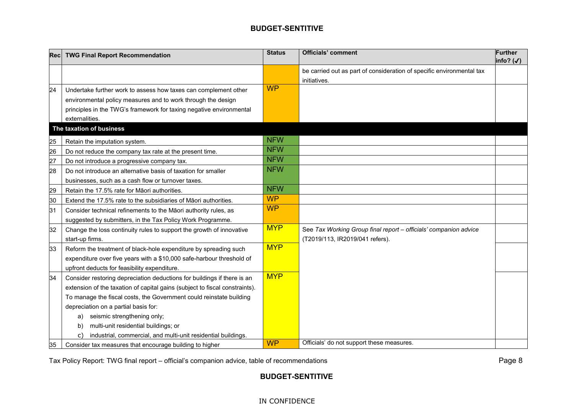| Recl | <b>TWG Final Report Recommendation</b>                                      | <b>Status</b> | <b>Officials' comment</b>                                             | <b>Further</b><br>info? $(\checkmark)$ |
|------|-----------------------------------------------------------------------------|---------------|-----------------------------------------------------------------------|----------------------------------------|
|      |                                                                             |               | be carried out as part of consideration of specific environmental tax |                                        |
|      |                                                                             |               | initiatives.                                                          |                                        |
| 24   | Undertake further work to assess how taxes can complement other             | <b>WP</b>     |                                                                       |                                        |
|      | environmental policy measures and to work through the design                |               |                                                                       |                                        |
|      | principles in the TWG's framework for taxing negative environmental         |               |                                                                       |                                        |
|      | externalities.                                                              |               |                                                                       |                                        |
|      | The taxation of business                                                    |               |                                                                       |                                        |
| 25   | Retain the imputation system.                                               | <b>NFW</b>    |                                                                       |                                        |
| 26   | Do not reduce the company tax rate at the present time.                     | <b>NFW</b>    |                                                                       |                                        |
| 27   | Do not introduce a progressive company tax.                                 | <b>NFW</b>    |                                                                       |                                        |
| 28   | Do not introduce an alternative basis of taxation for smaller               | <b>NFW</b>    |                                                                       |                                        |
|      | businesses, such as a cash flow or turnover taxes.                          |               |                                                                       |                                        |
| 29   | Retain the 17.5% rate for Māori authorities.                                | <b>NFW</b>    |                                                                       |                                        |
| 30   | Extend the 17.5% rate to the subsidiaries of Maori authorities.             | <b>WP</b>     |                                                                       |                                        |
| 31   | Consider technical refinements to the Māori authority rules, as             | <b>WP</b>     |                                                                       |                                        |
|      | suggested by submitters, in the Tax Policy Work Programme.                  |               |                                                                       |                                        |
| 32   | Change the loss continuity rules to support the growth of innovative        | <b>MYP</b>    | See Tax Working Group final report - officials' companion advice      |                                        |
|      | start-up firms.                                                             |               | (T2019/113, IR2019/041 refers).                                       |                                        |
| 33   | Reform the treatment of black-hole expenditure by spreading such            | <b>MYP</b>    |                                                                       |                                        |
|      | expenditure over five years with a \$10,000 safe-harbour threshold of       |               |                                                                       |                                        |
|      | upfront deducts for feasibility expenditure.                                |               |                                                                       |                                        |
| 34   | Consider restoring depreciation deductions for buildings if there is an     | <b>MYP</b>    |                                                                       |                                        |
|      | extension of the taxation of capital gains (subject to fiscal constraints). |               |                                                                       |                                        |
|      | To manage the fiscal costs, the Government could reinstate building         |               |                                                                       |                                        |
|      | depreciation on a partial basis for:                                        |               |                                                                       |                                        |
|      | seismic strengthening only;<br>a)                                           |               |                                                                       |                                        |
|      | multi-unit residential buildings; or<br>b)                                  |               |                                                                       |                                        |
|      | industrial, commercial, and multi-unit residential buildings.<br>C)         |               |                                                                       |                                        |
| 35   | Consider tax measures that encourage building to higher                     | <b>WP</b>     | Officials' do not support these measures.                             |                                        |

Tax Policy Report: TWG final report – official's companion advice, table of recommendations Page 8  $\,$ 

# **BUDGET-SENTITIVE**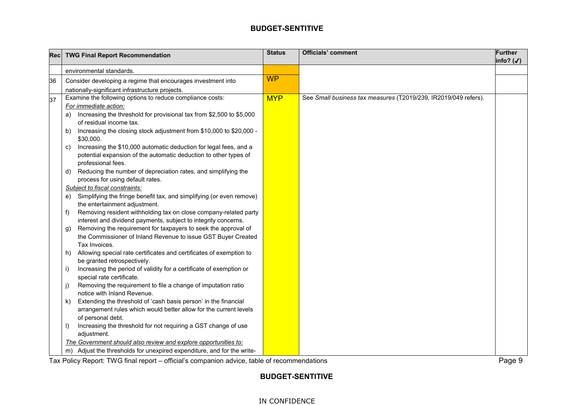| Rec | <b>TWG Final Report Recommendation</b>                                                                                                                            | <b>Status</b> | <b>Officials' comment</b>                                       | <b>Further</b><br>$info?$ (√) |
|-----|-------------------------------------------------------------------------------------------------------------------------------------------------------------------|---------------|-----------------------------------------------------------------|-------------------------------|
|     | environmental standards.                                                                                                                                          |               |                                                                 |                               |
| 36  | Consider developing a regime that encourages investment into                                                                                                      | <b>WP</b>     |                                                                 |                               |
|     | nationally-significant infrastructure projects.                                                                                                                   |               |                                                                 |                               |
| 37  | Examine the following options to reduce compliance costs:                                                                                                         | <b>MYP</b>    | See Small business tax measures (T2019/239, IR2019/049 refers). |                               |
|     | For immediate action:                                                                                                                                             |               |                                                                 |                               |
|     | Increasing the threshold for provisional tax from \$2,500 to \$5,000<br>a)<br>of residual income tax.                                                             |               |                                                                 |                               |
|     | Increasing the closing stock adjustment from \$10,000 to \$20,000 -<br>b)<br>\$30,000.                                                                            |               |                                                                 |                               |
|     | Increasing the \$10,000 automatic deduction for legal fees, and a<br>C)<br>potential expansion of the automatic deduction to other types of<br>professional fees. |               |                                                                 |                               |
|     | Reducing the number of depreciation rates, and simplifying the<br>d).<br>process for using default rates.                                                         |               |                                                                 |                               |
|     | Subject to fiscal constraints:                                                                                                                                    |               |                                                                 |                               |
|     | Simplifying the fringe benefit tax, and simplifying (or even remove)<br>e).<br>the entertainment adjustment.                                                      |               |                                                                 |                               |
|     | Removing resident withholding tax on close company-related party<br>f)<br>interest and dividend payments, subject to integrity concerns.                          |               |                                                                 |                               |
|     | Removing the requirement for taxpayers to seek the approval of<br>g)<br>the Commissioner of Inland Revenue to issue GST Buyer Created<br>Tax Invoices.            |               |                                                                 |                               |
|     | Allowing special rate certificates and certificates of exemption to<br>h)<br>be granted retrospectively.                                                          |               |                                                                 |                               |
|     | Increasing the period of validity for a certificate of exemption or<br>i)<br>special rate certificate.                                                            |               |                                                                 |                               |
|     | Removing the requirement to file a change of imputation ratio<br>j)<br>notice with Inland Revenue.                                                                |               |                                                                 |                               |
|     | Extending the threshold of 'cash basis person' in the financial<br>k)<br>arrangement rules which would better allow for the current levels                        |               |                                                                 |                               |
|     | of personal debt.<br>Increasing the threshold for not requiring a GST change of use<br>I)<br>adjustment.                                                          |               |                                                                 |                               |
|     | The Government should also review and explore opportunities to:                                                                                                   |               |                                                                 |                               |
|     | Adjust the thresholds for unexpired expenditure, and for the write-<br>m)                                                                                         |               |                                                                 |                               |

Tax Policy Report: TWG final report – official's companion advice, table of recommendations Page 9  $\,$ 

# **BUDGET-SENTITIVE**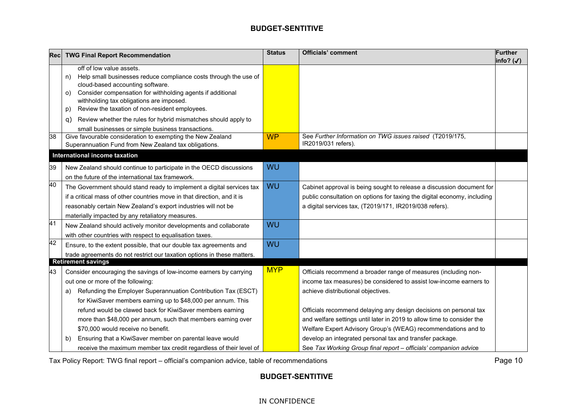| <b>Rec</b> | <b>TWG Final Report Recommendation</b>                                                                                                                                                                                                                                                                                                                                                 | <b>Status</b> | <b>Officials' comment</b>                                                                                                                                                                                                                                               | <b>Further</b><br>info? $(\checkmark)$ |
|------------|----------------------------------------------------------------------------------------------------------------------------------------------------------------------------------------------------------------------------------------------------------------------------------------------------------------------------------------------------------------------------------------|---------------|-------------------------------------------------------------------------------------------------------------------------------------------------------------------------------------------------------------------------------------------------------------------------|----------------------------------------|
|            | off of low value assets.<br>Help small businesses reduce compliance costs through the use of<br>n)<br>cloud-based accounting software.<br>Consider compensation for withholding agents if additional<br>O)<br>withholding tax obligations are imposed.<br>Review the taxation of non-resident employees.<br>p)<br>Review whether the rules for hybrid mismatches should apply to<br>q) |               |                                                                                                                                                                                                                                                                         |                                        |
| 38         | small businesses or simple business transactions.<br>Give favourable consideration to exempting the New Zealand<br>Superannuation Fund from New Zealand tax obligations.                                                                                                                                                                                                               | <b>WP</b>     | See Further Information on TWG issues raised (T2019/175,<br>IR2019/031 refers).                                                                                                                                                                                         |                                        |
|            | International income taxation                                                                                                                                                                                                                                                                                                                                                          |               |                                                                                                                                                                                                                                                                         |                                        |
| 39         | New Zealand should continue to participate in the OECD discussions<br>on the future of the international tax framework.                                                                                                                                                                                                                                                                | WU            |                                                                                                                                                                                                                                                                         |                                        |
| 40         | The Government should stand ready to implement a digital services tax<br>if a critical mass of other countries move in that direction, and it is<br>reasonably certain New Zealand's export industries will not be<br>materially impacted by any retaliatory measures.                                                                                                                 | WU            | Cabinet approval is being sought to release a discussion document for<br>public consultation on options for taxing the digital economy, including<br>a digital services tax, (T2019/171, IR2019/038 refers).                                                            |                                        |
| 41         | New Zealand should actively monitor developments and collaborate<br>with other countries with respect to equalisation taxes.                                                                                                                                                                                                                                                           | WU            |                                                                                                                                                                                                                                                                         |                                        |
| 42         | Ensure, to the extent possible, that our double tax agreements and<br>trade agreements do not restrict our taxation options in these matters.                                                                                                                                                                                                                                          | WU            |                                                                                                                                                                                                                                                                         |                                        |
| 43         | <b>Retirement savings</b><br>Consider encouraging the savings of low-income earners by carrying<br>out one or more of the following:<br>Refunding the Employer Superannuation Contribution Tax (ESCT)<br>a)<br>for KiwiSaver members earning up to \$48,000 per annum. This<br>refund would be clawed back for KiwiSaver members earning                                               | <b>MYP</b>    | Officials recommend a broader range of measures (including non-<br>income tax measures) be considered to assist low-income earners to<br>achieve distributional objectives.<br>Officials recommend delaying any design decisions on personal tax                        |                                        |
|            | more than \$48,000 per annum, such that members earning over<br>\$70,000 would receive no benefit.<br>Ensuring that a KiwiSaver member on parental leave would<br>b)<br>receive the maximum member tax credit regardless of their level of                                                                                                                                             |               | and welfare settings until later in 2019 to allow time to consider the<br>Welfare Expert Advisory Group's (WEAG) recommendations and to<br>develop an integrated personal tax and transfer package.<br>See Tax Working Group final report - officials' companion advice |                                        |

Tax Policy Report: TWG final report – official's companion advice, table of recommendations Page 10

# **BUDGET-SENTITIVE**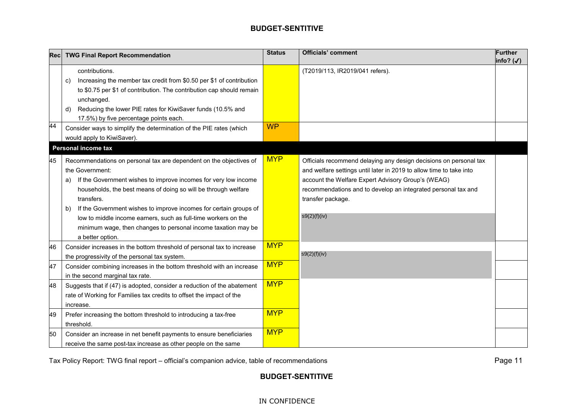| Recl | <b>TWG Final Report Recommendation</b>                                                                                                                                                                                                                                                                                                                                                                                                                                           | <b>Status</b> | <b>Officials' comment</b>                                                                                                                                                                                                                                                                            | <b>Further</b><br>$ info?(\checkmark)$ |
|------|----------------------------------------------------------------------------------------------------------------------------------------------------------------------------------------------------------------------------------------------------------------------------------------------------------------------------------------------------------------------------------------------------------------------------------------------------------------------------------|---------------|------------------------------------------------------------------------------------------------------------------------------------------------------------------------------------------------------------------------------------------------------------------------------------------------------|----------------------------------------|
| 44   | contributions.<br>Increasing the member tax credit from \$0.50 per \$1 of contribution<br>C)<br>to \$0.75 per \$1 of contribution. The contribution cap should remain<br>unchanged.<br>Reducing the lower PIE rates for KiwiSaver funds (10.5% and<br>d)<br>17.5%) by five percentage points each.<br>Consider ways to simplify the determination of the PIE rates (which<br>would apply to KiwiSaver).<br><b>Personal income tax</b>                                            | <b>WP</b>     | (T2019/113, IR2019/041 refers).                                                                                                                                                                                                                                                                      |                                        |
| 45   | Recommendations on personal tax are dependent on the objectives of<br>the Government:<br>If the Government wishes to improve incomes for very low income<br>a)<br>households, the best means of doing so will be through welfare<br>transfers.<br>If the Government wishes to improve incomes for certain groups of<br>b)<br>low to middle income earners, such as full-time workers on the<br>minimum wage, then changes to personal income taxation may be<br>a better option. | <b>MYP</b>    | Officials recommend delaying any design decisions on personal tax<br>and welfare settings until later in 2019 to allow time to take into<br>account the Welfare Expert Advisory Group's (WEAG)<br>recommendations and to develop an integrated personal tax and<br>transfer package.<br>s9(2)(f)(iv) |                                        |
| 46   | Consider increases in the bottom threshold of personal tax to increase<br>the progressivity of the personal tax system.                                                                                                                                                                                                                                                                                                                                                          | <b>MYP</b>    | s9(2)(f)(iv)                                                                                                                                                                                                                                                                                         |                                        |
| 47   | Consider combining increases in the bottom threshold with an increase<br>in the second marginal tax rate.                                                                                                                                                                                                                                                                                                                                                                        | <b>MYP</b>    |                                                                                                                                                                                                                                                                                                      |                                        |
| 48   | Suggests that if (47) is adopted, consider a reduction of the abatement<br>rate of Working for Families tax credits to offset the impact of the<br>increase.                                                                                                                                                                                                                                                                                                                     | <b>MYP</b>    |                                                                                                                                                                                                                                                                                                      |                                        |
| 49   | Prefer increasing the bottom threshold to introducing a tax-free<br>threshold.                                                                                                                                                                                                                                                                                                                                                                                                   | <b>MYP</b>    |                                                                                                                                                                                                                                                                                                      |                                        |
| 50   | Consider an increase in net benefit payments to ensure beneficiaries<br>receive the same post-tax increase as other people on the same                                                                                                                                                                                                                                                                                                                                           | <b>MYP</b>    |                                                                                                                                                                                                                                                                                                      |                                        |

Tax Policy Report: TWG final report – official's companion advice, table of recommendations Page 11

# **BUDGET-SENTITIVE**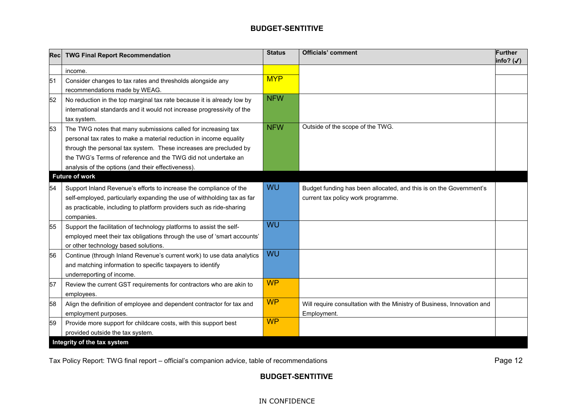| Rec | <b>TWG Final Report Recommendation</b>                                                                                                                                                                                                                                                                                          | <b>Status</b> | <b>Officials' comment</b>                                                                                | <b>Further</b><br>info? $(\checkmark)$ |
|-----|---------------------------------------------------------------------------------------------------------------------------------------------------------------------------------------------------------------------------------------------------------------------------------------------------------------------------------|---------------|----------------------------------------------------------------------------------------------------------|----------------------------------------|
|     | income.                                                                                                                                                                                                                                                                                                                         |               |                                                                                                          |                                        |
| 51  | Consider changes to tax rates and thresholds alongside any<br>recommendations made by WEAG.                                                                                                                                                                                                                                     | <b>MYP</b>    |                                                                                                          |                                        |
| 52  | No reduction in the top marginal tax rate because it is already low by<br>international standards and it would not increase progressivity of the<br>tax system.                                                                                                                                                                 | <b>NFW</b>    |                                                                                                          |                                        |
| 53  | The TWG notes that many submissions called for increasing tax<br>personal tax rates to make a material reduction in income equality<br>through the personal tax system. These increases are precluded by<br>the TWG's Terms of reference and the TWG did not undertake an<br>analysis of the options (and their effectiveness). | <b>NFW</b>    | Outside of the scope of the TWG.                                                                         |                                        |
|     | <b>Future of work</b>                                                                                                                                                                                                                                                                                                           |               |                                                                                                          |                                        |
| 54  | Support Inland Revenue's efforts to increase the compliance of the<br>self-employed, particularly expanding the use of withholding tax as far<br>as practicable, including to platform providers such as ride-sharing<br>companies.                                                                                             | WU            | Budget funding has been allocated, and this is on the Government's<br>current tax policy work programme. |                                        |
| 55  | Support the facilitation of technology platforms to assist the self-<br>employed meet their tax obligations through the use of 'smart accounts'<br>or other technology based solutions.                                                                                                                                         | WU            |                                                                                                          |                                        |
| 56  | Continue (through Inland Revenue's current work) to use data analytics<br>and matching information to specific taxpayers to identify<br>underreporting of income.                                                                                                                                                               | WU            |                                                                                                          |                                        |
| 57  | Review the current GST requirements for contractors who are akin to<br>employees.                                                                                                                                                                                                                                               | <b>WP</b>     |                                                                                                          |                                        |
| 58  | Align the definition of employee and dependent contractor for tax and<br>employment purposes.                                                                                                                                                                                                                                   | <b>WP</b>     | Will require consultation with the Ministry of Business, Innovation and<br>Employment.                   |                                        |
| 59  | Provide more support for childcare costs, with this support best<br>provided outside the tax system.                                                                                                                                                                                                                            | <b>WP</b>     |                                                                                                          |                                        |
|     | Integrity of the tax system                                                                                                                                                                                                                                                                                                     |               |                                                                                                          |                                        |

Tax Policy Report: TWG final report – official's companion advice, table of recommendations Page 12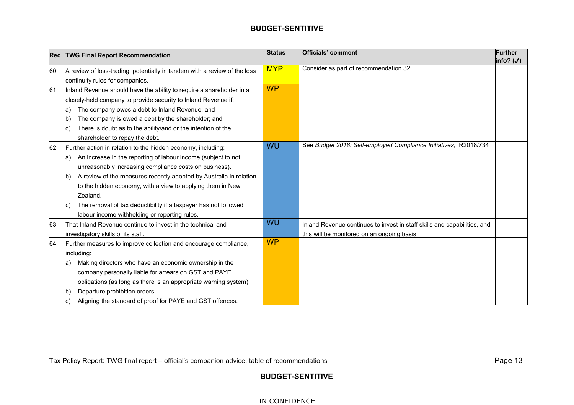| <b>Rec</b> | <b>TWG Final Report Recommendation</b>                                    | <b>Status</b> | <b>Officials' comment</b>                                                | <b>Further</b>       |
|------------|---------------------------------------------------------------------------|---------------|--------------------------------------------------------------------------|----------------------|
|            |                                                                           | <b>MYP</b>    | Consider as part of recommendation 32.                                   | info? $(\checkmark)$ |
| 60         | A review of loss-trading, potentially in tandem with a review of the loss |               |                                                                          |                      |
|            | continuity rules for companies.                                           |               |                                                                          |                      |
| 61         | Inland Revenue should have the ability to require a shareholder in a      | <b>WP</b>     |                                                                          |                      |
|            | closely-held company to provide security to Inland Revenue if:            |               |                                                                          |                      |
|            | The company owes a debt to Inland Revenue; and<br>a)                      |               |                                                                          |                      |
|            | The company is owed a debt by the shareholder; and<br>b)                  |               |                                                                          |                      |
|            | There is doubt as to the ability/and or the intention of the<br>C)        |               |                                                                          |                      |
|            | shareholder to repay the debt.                                            |               |                                                                          |                      |
| 62         | Further action in relation to the hidden economy, including:              | <b>WU</b>     | See Budget 2018: Self-employed Compliance Initiatives, IR2018/734        |                      |
|            | An increase in the reporting of labour income (subject to not<br>a)       |               |                                                                          |                      |
|            | unreasonably increasing compliance costs on business).                    |               |                                                                          |                      |
|            | A review of the measures recently adopted by Australia in relation<br>b)  |               |                                                                          |                      |
|            | to the hidden economy, with a view to applying them in New                |               |                                                                          |                      |
|            | Zealand.                                                                  |               |                                                                          |                      |
|            | The removal of tax deductibility if a taxpayer has not followed<br>C)     |               |                                                                          |                      |
|            | labour income withholding or reporting rules.                             |               |                                                                          |                      |
| 63         | That Inland Revenue continue to invest in the technical and               | WU            | Inland Revenue continues to invest in staff skills and capabilities, and |                      |
|            | investigatory skills of its staff.                                        |               | this will be monitored on an ongoing basis.                              |                      |
| 64         | Further measures to improve collection and encourage compliance,          | <b>WP</b>     |                                                                          |                      |
|            | including:                                                                |               |                                                                          |                      |
|            | Making directors who have an economic ownership in the<br>a)              |               |                                                                          |                      |
|            | company personally liable for arrears on GST and PAYE                     |               |                                                                          |                      |
|            | obligations (as long as there is an appropriate warning system).          |               |                                                                          |                      |
|            | Departure prohibition orders.<br>$\mathsf{b}$                             |               |                                                                          |                      |
|            | Aligning the standard of proof for PAYE and GST offences.<br>C)           |               |                                                                          |                      |

Tax Policy Report: TWG final report – official's companion advice, table of recommendations Page 13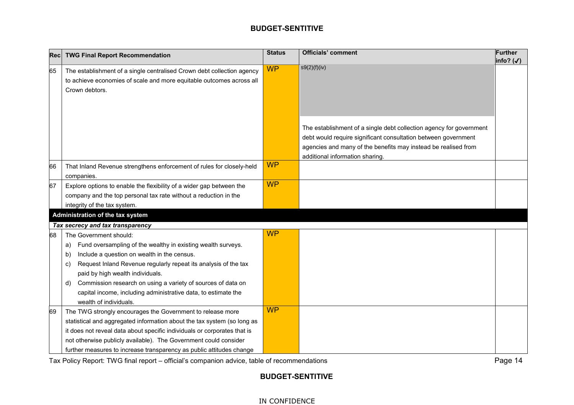| Recl | <b>TWG Final Report Recommendation</b>                                                                                                                                                                       | <b>Status</b> | <b>Officials' comment</b>                                                                                                                                                                                                                  | <b>Further</b><br>info? $(\checkmark)$ |
|------|--------------------------------------------------------------------------------------------------------------------------------------------------------------------------------------------------------------|---------------|--------------------------------------------------------------------------------------------------------------------------------------------------------------------------------------------------------------------------------------------|----------------------------------------|
| 65   | The establishment of a single centralised Crown debt collection agency<br>to achieve economies of scale and more equitable outcomes across all<br>Crown debtors.                                             | <b>WP</b>     | s9(2)(f)(iv)                                                                                                                                                                                                                               |                                        |
|      |                                                                                                                                                                                                              |               | The establishment of a single debt collection agency for government<br>debt would require significant consultation between government<br>agencies and many of the benefits may instead be realised from<br>additional information sharing. |                                        |
| 66   | That Inland Revenue strengthens enforcement of rules for closely-held<br>companies.                                                                                                                          | <b>WP</b>     |                                                                                                                                                                                                                                            |                                        |
| 67   | Explore options to enable the flexibility of a wider gap between the<br>company and the top personal tax rate without a reduction in the<br>integrity of the tax system.<br>Administration of the tax system | <b>WP</b>     |                                                                                                                                                                                                                                            |                                        |
|      | Tax secrecy and tax transparency                                                                                                                                                                             |               |                                                                                                                                                                                                                                            |                                        |
| 68   | The Government should:                                                                                                                                                                                       | <b>WP</b>     |                                                                                                                                                                                                                                            |                                        |
|      | Fund oversampling of the wealthy in existing wealth surveys.<br>a)<br>Include a question on wealth in the census.<br>b)                                                                                      |               |                                                                                                                                                                                                                                            |                                        |
|      | Request Inland Revenue regularly repeat its analysis of the tax<br>C)                                                                                                                                        |               |                                                                                                                                                                                                                                            |                                        |
|      | paid by high wealth individuals.                                                                                                                                                                             |               |                                                                                                                                                                                                                                            |                                        |
|      | Commission research on using a variety of sources of data on<br>d)<br>capital income, including administrative data, to estimate the<br>wealth of individuals.                                               |               |                                                                                                                                                                                                                                            |                                        |
| 69   | The TWG strongly encourages the Government to release more                                                                                                                                                   | <b>WP</b>     |                                                                                                                                                                                                                                            |                                        |
|      | statistical and aggregated information about the tax system (so long as                                                                                                                                      |               |                                                                                                                                                                                                                                            |                                        |
|      | it does not reveal data about specific individuals or corporates that is                                                                                                                                     |               |                                                                                                                                                                                                                                            |                                        |
|      | not otherwise publicly available). The Government could consider                                                                                                                                             |               |                                                                                                                                                                                                                                            |                                        |
|      | further measures to increase transparency as public attitudes change                                                                                                                                         |               |                                                                                                                                                                                                                                            |                                        |

Tax Policy Report: TWG final report – official's companion advice, table of recommendations Page 14

# **BUDGET-SENTITIVE**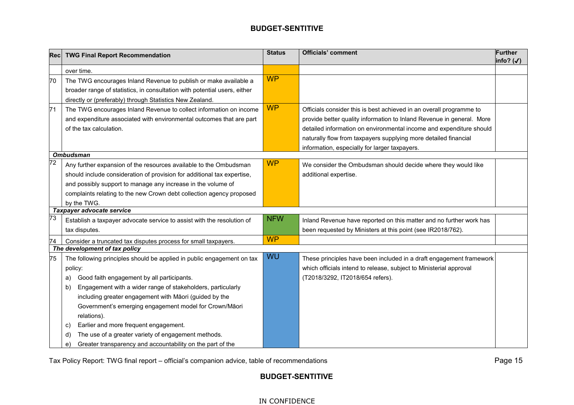| Recl            | <b>TWG Final Report Recommendation</b>                                                                                                                                                                                                                                                                                                                                                       | <b>Status</b> | <b>Officials' comment</b>                                                                                                                                                                                                                                                                                                               | <b>Further</b><br>info? (√) |
|-----------------|----------------------------------------------------------------------------------------------------------------------------------------------------------------------------------------------------------------------------------------------------------------------------------------------------------------------------------------------------------------------------------------------|---------------|-----------------------------------------------------------------------------------------------------------------------------------------------------------------------------------------------------------------------------------------------------------------------------------------------------------------------------------------|-----------------------------|
|                 | over time.                                                                                                                                                                                                                                                                                                                                                                                   |               |                                                                                                                                                                                                                                                                                                                                         |                             |
| 70              | The TWG encourages Inland Revenue to publish or make available a<br>broader range of statistics, in consultation with potential users, either<br>directly or (preferably) through Statistics New Zealand.                                                                                                                                                                                    | <b>WP</b>     |                                                                                                                                                                                                                                                                                                                                         |                             |
| 71              | The TWG encourages Inland Revenue to collect information on income<br>and expenditure associated with environmental outcomes that are part<br>of the tax calculation.                                                                                                                                                                                                                        | <b>WP</b>     | Officials consider this is best achieved in an overall programme to<br>provide better quality information to Inland Revenue in general. More<br>detailed information on environmental income and expenditure should<br>naturally flow from taxpayers supplying more detailed financial<br>information, especially for larger taxpayers. |                             |
|                 | <b>Ombudsman</b>                                                                                                                                                                                                                                                                                                                                                                             |               |                                                                                                                                                                                                                                                                                                                                         |                             |
| $\overline{72}$ | Any further expansion of the resources available to the Ombudsman<br>should include consideration of provision for additional tax expertise,<br>and possibly support to manage any increase in the volume of<br>complaints relating to the new Crown debt collection agency proposed<br>by the TWG.                                                                                          | <b>WP</b>     | We consider the Ombudsman should decide where they would like<br>additional expertise.                                                                                                                                                                                                                                                  |                             |
|                 | Taxpayer advocate service                                                                                                                                                                                                                                                                                                                                                                    |               |                                                                                                                                                                                                                                                                                                                                         |                             |
| 73              | Establish a taxpayer advocate service to assist with the resolution of<br>tax disputes.                                                                                                                                                                                                                                                                                                      | <b>NFW</b>    | Inland Revenue have reported on this matter and no further work has<br>been requested by Ministers at this point (see IR2018/762).                                                                                                                                                                                                      |                             |
| 74              | Consider a truncated tax disputes process for small taxpayers.                                                                                                                                                                                                                                                                                                                               | <b>WP</b>     |                                                                                                                                                                                                                                                                                                                                         |                             |
|                 | The development of tax policy                                                                                                                                                                                                                                                                                                                                                                |               |                                                                                                                                                                                                                                                                                                                                         |                             |
| 75              | The following principles should be applied in public engagement on tax<br>policy:<br>Good faith engagement by all participants.<br>a)<br>Engagement with a wider range of stakeholders, particularly<br>b)<br>including greater engagement with Māori (guided by the<br>Government's emerging engagement model for Crown/Māori<br>relations).<br>Earlier and more frequent engagement.<br>C) | WU            | These principles have been included in a draft engagement framework<br>which officials intend to release, subject to Ministerial approval<br>(T2018/3292, IT2018/654 refers).                                                                                                                                                           |                             |
|                 | The use of a greater variety of engagement methods.<br>d)<br>Greater transparency and accountability on the part of the<br>e)                                                                                                                                                                                                                                                                |               |                                                                                                                                                                                                                                                                                                                                         |                             |

Tax Policy Report: TWG final report – official's companion advice, table of recommendations Page 15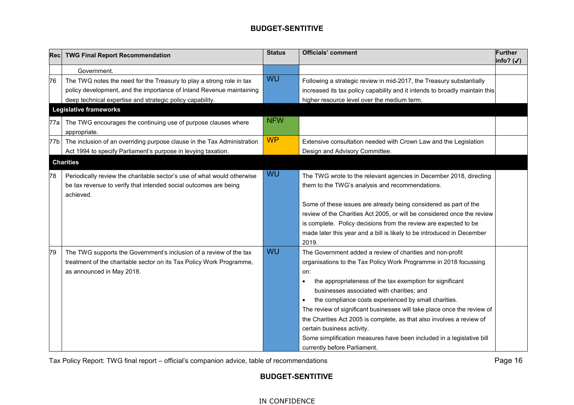| Recl | <b>TWG Final Report Recommendation</b>                                                                                                                                  | <b>Status</b> | <b>Officials' comment</b>                                                                                                                                                                                                                                                                                                                                                                                                                                                                                                                                                                                                  | <b>Further</b><br>info? $(\checkmark)$ |
|------|-------------------------------------------------------------------------------------------------------------------------------------------------------------------------|---------------|----------------------------------------------------------------------------------------------------------------------------------------------------------------------------------------------------------------------------------------------------------------------------------------------------------------------------------------------------------------------------------------------------------------------------------------------------------------------------------------------------------------------------------------------------------------------------------------------------------------------------|----------------------------------------|
|      | Government.                                                                                                                                                             |               |                                                                                                                                                                                                                                                                                                                                                                                                                                                                                                                                                                                                                            |                                        |
| 76   | The TWG notes the need for the Treasury to play a strong role in tax<br>policy development, and the importance of Inland Revenue maintaining                            | WU            | Following a strategic review in mid-2017, the Treasury substantially<br>increased its tax policy capability and it intends to broadly maintain this                                                                                                                                                                                                                                                                                                                                                                                                                                                                        |                                        |
|      | deep technical expertise and strategic policy capability.<br><b>Legislative frameworks</b>                                                                              |               | higher resource level over the medium term.                                                                                                                                                                                                                                                                                                                                                                                                                                                                                                                                                                                |                                        |
| 77a  | The TWG encourages the continuing use of purpose clauses where<br>appropriate.                                                                                          | <b>NFW</b>    |                                                                                                                                                                                                                                                                                                                                                                                                                                                                                                                                                                                                                            |                                        |
| 77b  | The inclusion of an overriding purpose clause in the Tax Administration<br>Act 1994 to specify Parliament's purpose in levying taxation.                                | <b>WP</b>     | Extensive consultation needed with Crown Law and the Legislation<br>Design and Advisory Committee.                                                                                                                                                                                                                                                                                                                                                                                                                                                                                                                         |                                        |
|      | <b>Charities</b>                                                                                                                                                        |               |                                                                                                                                                                                                                                                                                                                                                                                                                                                                                                                                                                                                                            |                                        |
| 78   | Periodically review the charitable sector's use of what would otherwise<br>be tax revenue to verify that intended social outcomes are being<br>achieved.                | WU            | The TWG wrote to the relevant agencies in December 2018, directing<br>them to the TWG's analysis and recommendations.                                                                                                                                                                                                                                                                                                                                                                                                                                                                                                      |                                        |
|      |                                                                                                                                                                         |               | Some of these issues are already being considered as part of the<br>review of the Charities Act 2005, or will be considered once the review<br>is complete. Policy decisions from the review are expected to be<br>made later this year and a bill is likely to be introduced in December<br>2019.                                                                                                                                                                                                                                                                                                                         |                                        |
| 79   | The TWG supports the Government's inclusion of a review of the tax<br>treatment of the charitable sector on its Tax Policy Work Programme,<br>as announced in May 2018. | WU            | The Government added a review of charities and non-profit<br>organisations to the Tax Policy Work Programme in 2018 focussing<br>on:<br>the appropriateness of the tax exemption for significant<br>$\bullet$<br>businesses associated with charities; and<br>the compliance costs experienced by small charities.<br>$\bullet$<br>The review of significant businesses will take place once the review of<br>the Charities Act 2005 is complete, as that also involves a review of<br>certain business activity.<br>Some simplification measures have been included in a legislative bill<br>currently before Parliament. |                                        |

Tax Policy Report: TWG final report – official's companion advice, table of recommendations Page 16

# **BUDGET-SENTITIVE**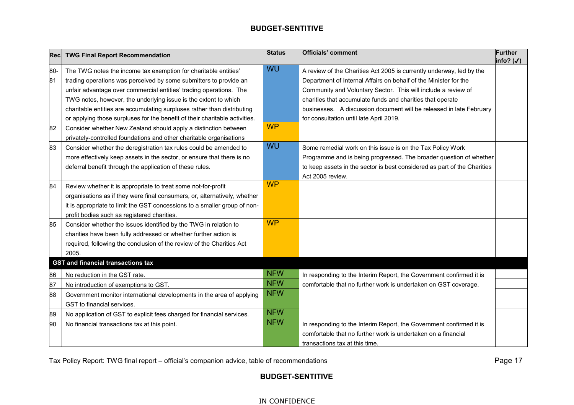| Recl | <b>TWG Final Report Recommendation</b>                                      | <b>Status</b> | <b>Officials' comment</b>                                                | <b>Further</b><br>info? $(\checkmark)$ |
|------|-----------------------------------------------------------------------------|---------------|--------------------------------------------------------------------------|----------------------------------------|
| 80-  | The TWG notes the income tax exemption for charitable entities'             | WU            | A review of the Charities Act 2005 is currently underway, led by the     |                                        |
| 81   | trading operations was perceived by some submitters to provide an           |               | Department of Internal Affairs on behalf of the Minister for the         |                                        |
|      | unfair advantage over commercial entities' trading operations. The          |               | Community and Voluntary Sector. This will include a review of            |                                        |
|      | TWG notes, however, the underlying issue is the extent to which             |               | charities that accumulate funds and charities that operate               |                                        |
|      | charitable entities are accumulating surpluses rather than distributing     |               | businesses. A discussion document will be released in late February      |                                        |
|      | or applying those surpluses for the benefit of their charitable activities. |               | for consultation until late April 2019.                                  |                                        |
| 82   | Consider whether New Zealand should apply a distinction between             | <b>WP</b>     |                                                                          |                                        |
|      | privately-controlled foundations and other charitable organisations         |               |                                                                          |                                        |
| 83   | Consider whether the deregistration tax rules could be amended to           | WU            | Some remedial work on this issue is on the Tax Policy Work               |                                        |
|      | more effectively keep assets in the sector, or ensure that there is no      |               | Programme and is being progressed. The broader question of whether       |                                        |
|      | deferral benefit through the application of these rules.                    |               | to keep assets in the sector is best considered as part of the Charities |                                        |
|      |                                                                             |               | Act 2005 review.                                                         |                                        |
| 84   | Review whether it is appropriate to treat some not-for-profit               | <b>WP</b>     |                                                                          |                                        |
|      | organisations as if they were final consumers, or, alternatively, whether   |               |                                                                          |                                        |
|      | it is appropriate to limit the GST concessions to a smaller group of non-   |               |                                                                          |                                        |
|      | profit bodies such as registered charities.                                 |               |                                                                          |                                        |
| 85   | Consider whether the issues identified by the TWG in relation to            | <b>WP</b>     |                                                                          |                                        |
|      | charities have been fully addressed or whether further action is            |               |                                                                          |                                        |
|      | required, following the conclusion of the review of the Charities Act       |               |                                                                          |                                        |
|      | 2005.                                                                       |               |                                                                          |                                        |
|      | <b>GST and financial transactions tax</b>                                   |               |                                                                          |                                        |
| 86   | No reduction in the GST rate.                                               | <b>NFW</b>    | In responding to the Interim Report, the Government confirmed it is      |                                        |
| 87   | No introduction of exemptions to GST.                                       | <b>NFW</b>    | comfortable that no further work is undertaken on GST coverage.          |                                        |
| 88   | Government monitor international developments in the area of applying       | <b>NFW</b>    |                                                                          |                                        |
|      | GST to financial services.                                                  |               |                                                                          |                                        |
| 89   | No application of GST to explicit fees charged for financial services.      | <b>NFW</b>    |                                                                          |                                        |
| 90   | No financial transactions tax at this point.                                | <b>NFW</b>    | In responding to the Interim Report, the Government confirmed it is      |                                        |
|      |                                                                             |               | comfortable that no further work is undertaken on a financial            |                                        |
|      |                                                                             |               | transactions tax at this time.                                           |                                        |

Tax Policy Report: TWG final report – official's companion advice, table of recommendations Page 17

# **BUDGET-SENTITIVE**